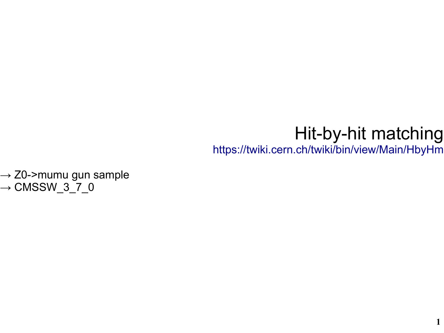### Hit-by-hit matching

<https://twiki.cern.ch/twiki/bin/view/Main/HbyHm>

 $\rightarrow$  Z0->mumu gun sample  $\rightarrow$  CMSSW\_3\_7\_0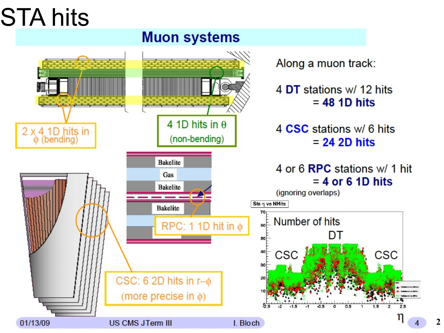# STA hits

#### **Muon systems**

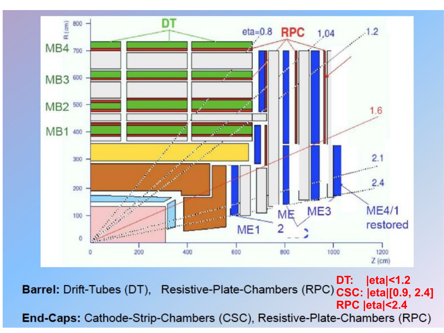

**DT: |eta|<1.2** Barrel: Drift-Tubes (DT), Resistive-Plate-Chambers (RPC) CSC: eta<sub>|[0.9, 2.4]</sub> **RPC |eta|<2.4**End-Caps: Cathode-Strip-Chambers (CSC), Resistive-Plate-Chambers (RPC)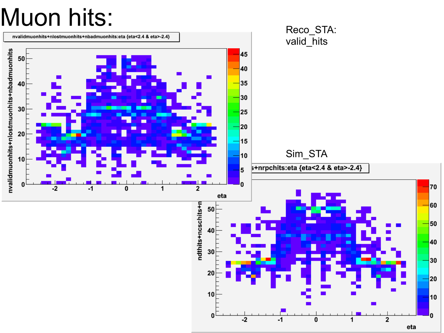# Muon hits:

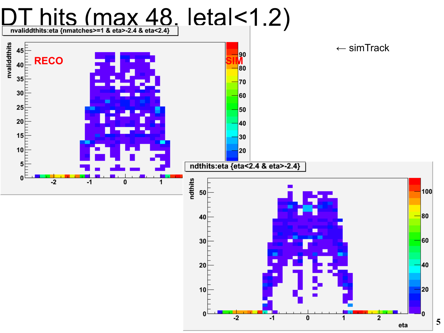

**5**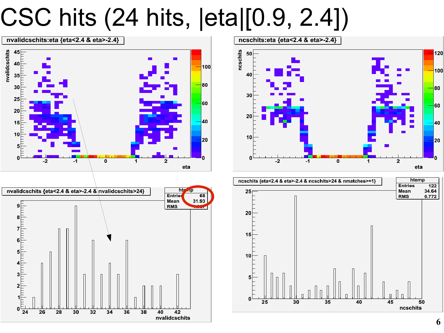# CSC hits (24 hits, |eta|[0.9, 2.4])







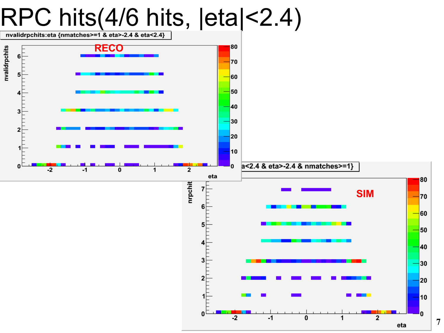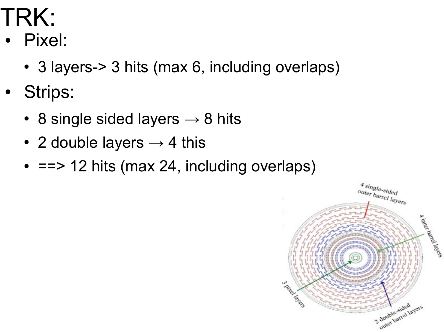## TRK:

- Pixel:
	- 3 layers-> 3 hits (max 6, including overlaps)
- Strips:
	- 8 single sided layers  $\rightarrow$  8 hits
	- 2 double layers  $\rightarrow$  4 this
	- $\cdot$  ==> 12 hits (max 24, including overlaps)

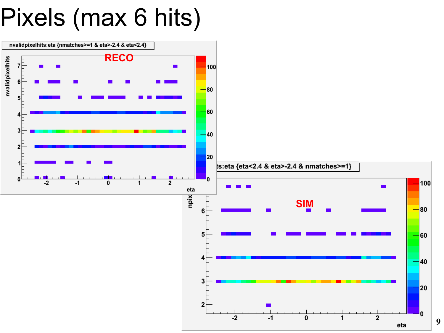## Pixels (max 6 hits)

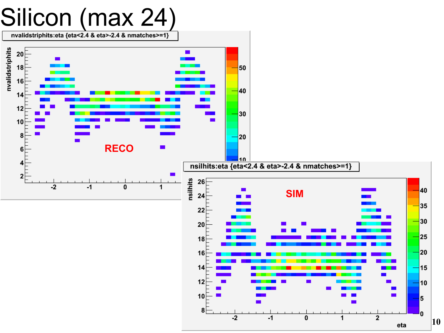![](_page_9_Figure_0.jpeg)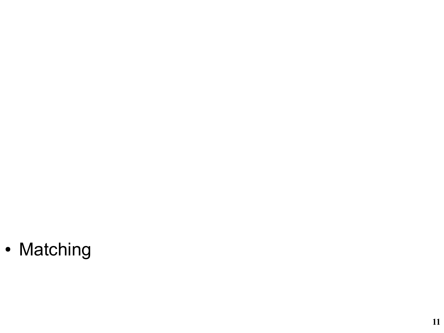• Matching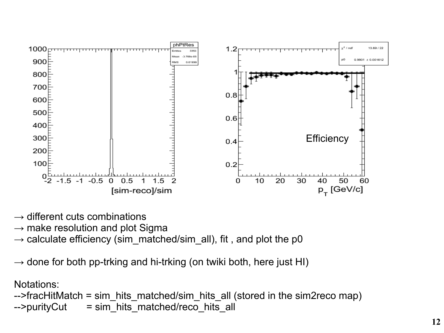![](_page_11_Figure_0.jpeg)

- $\rightarrow$  different cuts combinations
- $\rightarrow$  make resolution and plot Sigma
- $\rightarrow$  calculate efficiency (sim\_matched/sim\_all), fit , and plot the p0
- $\rightarrow$  done for both pp-trking and hi-trking (on twiki both, here just HI)

#### Notations:

```
-->fracHitMatch = sim_hits_matched/sim_hits_all (stored in the sim2reco map)
-->purityCut = sim_hits_matched/reco_hits_all
```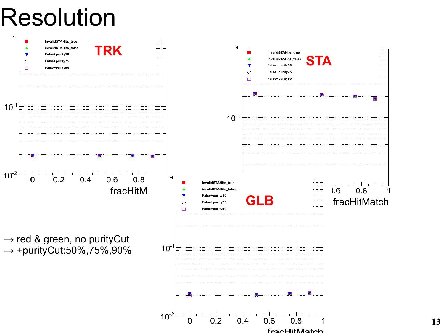### Resolution

![](_page_12_Figure_1.jpeg)

**13**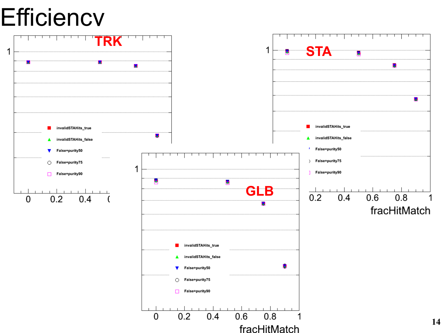### **Efficiency**

![](_page_13_Figure_1.jpeg)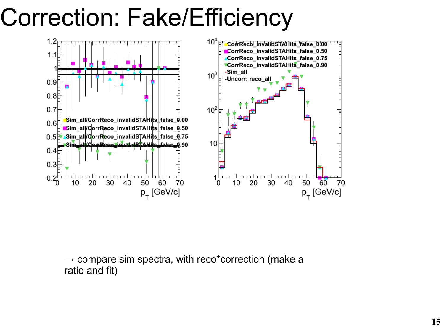# Correction: Fake/Efficiency

![](_page_14_Figure_1.jpeg)

 $\rightarrow$  compare sim spectra, with reco\*correction (make a ratio and fit)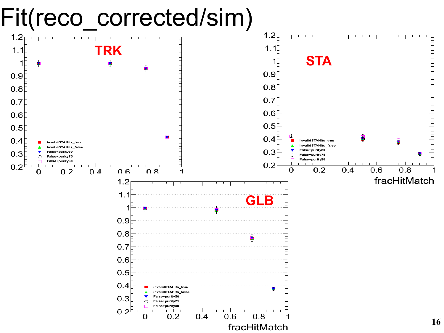![](_page_15_Figure_0.jpeg)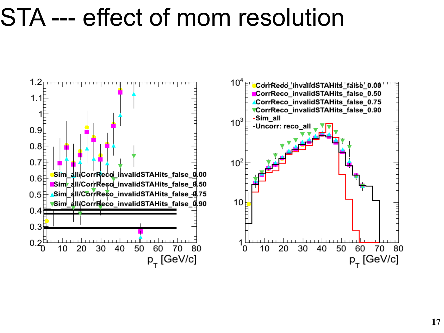### STA --- effect of mom resolution

![](_page_16_Figure_1.jpeg)